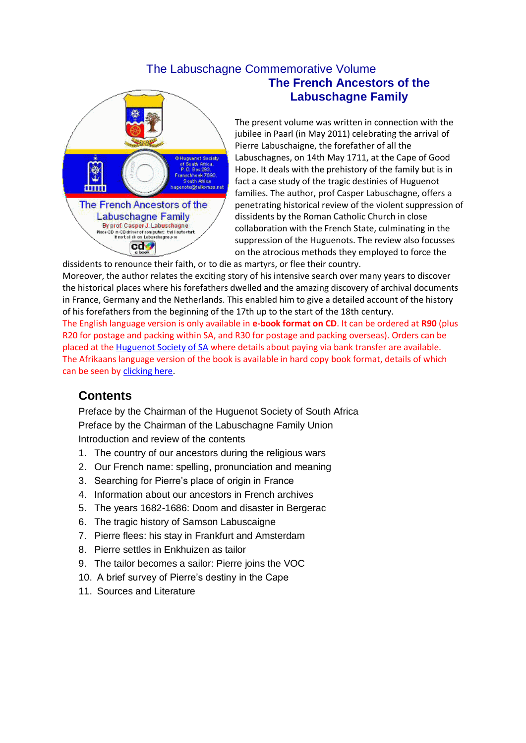#### The Labuschagne Commemorative Volume



# **The French Ancestors of the Labuschagne Family**

The present volume was written in connection with the jubilee in Paarl (in May 2011) celebrating the arrival of Pierre Labuschaigne, the forefather of all the Labuschagnes, on 14th May 1711, at the Cape of Good Hope. It deals with the prehistory of the family but is in fact a case study of the tragic destinies of Huguenot families. The author, prof Casper Labuschagne, offers a penetrating historical review of the violent suppression of dissidents by the Roman Catholic Church in close collaboration with the French State, culminating in the suppression of the Huguenots. The review also focusses on the atrocious methods they employed to force the

dissidents to renounce their faith, or to die as martyrs, or flee their country. Moreover, the author relates the exciting story of his intensive search over many years to discover the historical places where his forefathers dwelled and the amazing discovery of archival documents in France, Germany and the Netherlands. This enabled him to give a detailed account of the history of his forefathers from the beginning of the 17th up to the start of the 18th century. The English language version is only available in **e-book format on CD**. It can be ordered at **R90** (plus R20 for postage and packing within SA, and R30 for postage and packing overseas). Orders can be placed at the **[Huguenot Society of SA](mailto:hugenote@telkomsa.net?subject=Inquiry%20from%20website&body=I%20am%20interested%20in%20the%20Labuschagne%20e-book%20CD.%0A%0aPlease%20send%20me%20your%20bank%20details%20for%20payment.%0A%0AMy%20name%20is:)** where details about paying via bank transfer are available. The Afrikaans language version of the book is available in hard copy book format, details of which can be seen by [clicking here.](http://www.hugenoot.org.za/hugver.htm#Labuschagne)

### **Contents**

Preface by the Chairman of the Huguenot Society of South Africa Preface by the Chairman of the Labuschagne Family Union Introduction and review of the contents

- 1. The country of our ancestors during the religious wars
- 2. Our French name: spelling, pronunciation and meaning
- 3. Searching for Pierre's place of origin in France
- 4. Information about our ancestors in French archives
- 5. The years 1682-1686: Doom and disaster in Bergerac
- 6. The tragic history of Samson Labuscaigne
- 7. Pierre flees: his stay in Frankfurt and Amsterdam
- 8. Pierre settles in Enkhuizen as tailor
- 9. The tailor becomes a sailor: Pierre joins the VOC
- 10. A brief survey of Pierre's destiny in the Cape
- 11. Sources and Literature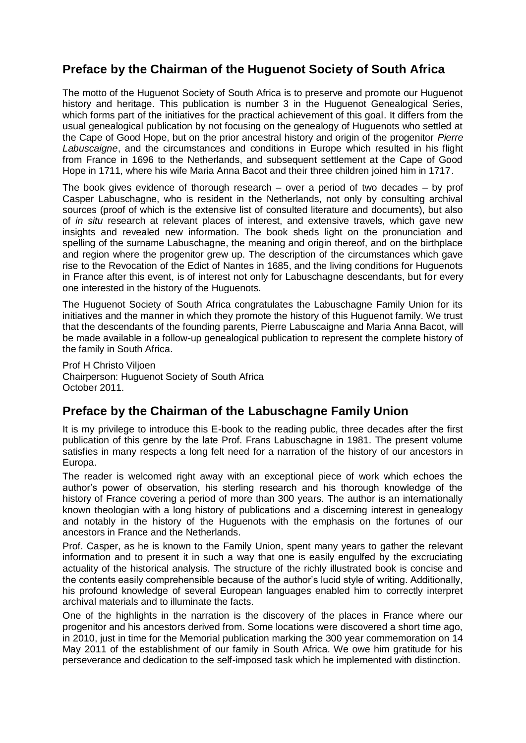### **Preface by the Chairman of the Huguenot Society of South Africa**

The motto of the Huguenot Society of South Africa is to preserve and promote our Huguenot history and heritage. This publication is number 3 in the Huguenot Genealogical Series, which forms part of the initiatives for the practical achievement of this goal. It differs from the usual genealogical publication by not focusing on the genealogy of Huguenots who settled at the Cape of Good Hope, but on the prior ancestral history and origin of the progenitor *Pierre Labuscaigne*, and the circumstances and conditions in Europe which resulted in his flight from France in 1696 to the Netherlands, and subsequent settlement at the Cape of Good Hope in 1711, where his wife Maria Anna Bacot and their three children joined him in 1717.

The book gives evidence of thorough research – over a period of two decades – by prof Casper Labuschagne, who is resident in the Netherlands, not only by consulting archival sources (proof of which is the extensive list of consulted literature and documents), but also of *in situ* research at relevant places of interest, and extensive travels, which gave new insights and revealed new information. The book sheds light on the pronunciation and spelling of the surname Labuschagne, the meaning and origin thereof, and on the birthplace and region where the progenitor grew up. The description of the circumstances which gave rise to the Revocation of the Edict of Nantes in 1685, and the living conditions for Huguenots in France after this event, is of interest not only for Labuschagne descendants, but for every one interested in the history of the Huguenots.

The Huguenot Society of South Africa congratulates the Labuschagne Family Union for its initiatives and the manner in which they promote the history of this Huguenot family. We trust that the descendants of the founding parents, Pierre Labuscaigne and Maria Anna Bacot, will be made available in a follow-up genealogical publication to represent the complete history of the family in South Africa.

Prof H Christo Viljoen Chairperson: Huguenot Society of South Africa October 2011.

### **Preface by the Chairman of the Labuschagne Family Union**

It is my privilege to introduce this E-book to the reading public, three decades after the first publication of this genre by the late Prof. Frans Labuschagne in 1981. The present volume satisfies in many respects a long felt need for a narration of the history of our ancestors in Europa.

The reader is welcomed right away with an exceptional piece of work which echoes the author's power of observation, his sterling research and his thorough knowledge of the history of France covering a period of more than 300 years. The author is an internationally known theologian with a long history of publications and a discerning interest in genealogy and notably in the history of the Huguenots with the emphasis on the fortunes of our ancestors in France and the Netherlands.

Prof. Casper, as he is known to the Family Union, spent many years to gather the relevant information and to present it in such a way that one is easily engulfed by the excruciating actuality of the historical analysis. The structure of the richly illustrated book is concise and the contents easily comprehensible because of the author's lucid style of writing. Additionally, his profound knowledge of several European languages enabled him to correctly interpret archival materials and to illuminate the facts.

One of the highlights in the narration is the discovery of the places in France where our progenitor and his ancestors derived from. Some locations were discovered a short time ago, in 2010, just in time for the Memorial publication marking the 300 year commemoration on 14 May 2011 of the establishment of our family in South Africa. We owe him gratitude for his perseverance and dedication to the self-imposed task which he implemented with distinction.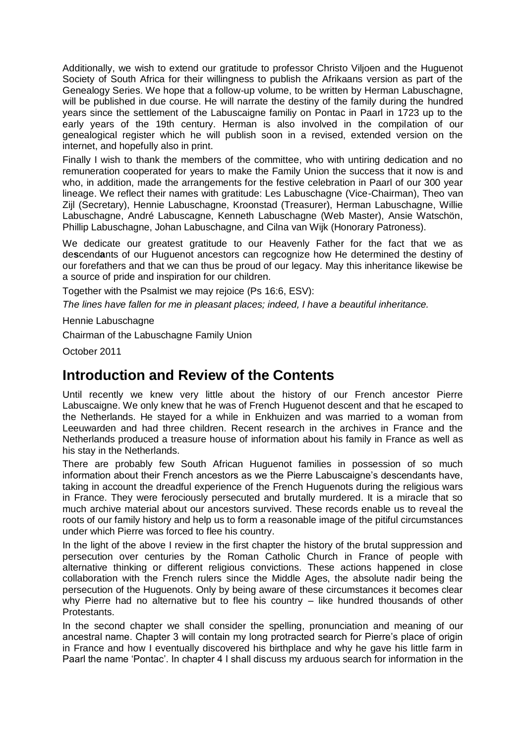Additionally, we wish to extend our gratitude to professor Christo Viljoen and the Huguenot Society of South Africa for their willingness to publish the Afrikaans version as part of the Genealogy Series. We hope that a follow-up volume, to be written by Herman Labuschagne, will be published in due course. He will narrate the destiny of the family during the hundred years since the settlement of the Labuscaigne familiy on Pontac in Paarl in 1723 up to the early years of the 19th century. Herman is also involved in the compilation of our genealogical register which he will publish soon in a revised, extended version on the internet, and hopefully also in print.

Finally I wish to thank the members of the committee, who with untiring dedication and no remuneration cooperated for years to make the Family Union the success that it now is and who, in addition, made the arrangements for the festive celebration in Paarl of our 300 year lineage. We reflect their names with gratitude: Les Labuschagne (Vice-Chairman), Theo van Zijl (Secretary), Hennie Labuschagne, Kroonstad (Treasurer), Herman Labuschagne, Willie Labuschagne, André Labuscagne, Kenneth Labuschagne (Web Master), Ansie Watschön, Phillip Labuschagne, Johan Labuschagne, and Cilna van Wijk (Honorary Patroness).

We dedicate our greatest gratitude to our Heavenly Father for the fact that we as de**s**cend**a**nts of our Huguenot ancestors can regcognize how He determined the destiny of our forefathers and that we can thus be proud of our legacy. May this inheritance likewise be a source of pride and inspiration for our children.

Together with the Psalmist we may rejoice (Ps 16:6, ESV):

*The lines have fallen for me in pleasant places; indeed, I have a beautiful inheritance.*

Hennie Labuschagne

Chairman of the Labuschagne Family Union

October 2011

## **Introduction and Review of the Contents**

Until recently we knew very little about the history of our French ancestor Pierre Labuscaigne. We only knew that he was of French Huguenot descent and that he escaped to the Netherlands. He stayed for a while in Enkhuizen and was married to a woman from Leeuwarden and had three children. Recent research in the archives in France and the Netherlands produced a treasure house of information about his family in France as well as his stay in the Netherlands.

There are probably few South African Huguenot families in possession of so much information about their French ancestors as we the Pierre Labuscaigne's descendants have, taking in account the dreadful experience of the French Huguenots during the religious wars in France. They were ferociously persecuted and brutally murdered. It is a miracle that so much archive material about our ancestors survived. These records enable us to reveal the roots of our family history and help us to form a reasonable image of the pitiful circumstances under which Pierre was forced to flee his country.

In the light of the above I review in the first chapter the history of the brutal suppression and persecution over centuries by the Roman Catholic Church in France of people with alternative thinking or different religious convictions. These actions happened in close collaboration with the French rulers since the Middle Ages, the absolute nadir being the persecution of the Huguenots. Only by being aware of these circumstances it becomes clear why Pierre had no alternative but to flee his country – like hundred thousands of other Protestants.

In the second chapter we shall consider the spelling, pronunciation and meaning of our ancestral name. Chapter 3 will contain my long protracted search for Pierre's place of origin in France and how I eventually discovered his birthplace and why he gave his little farm in Paarl the name 'Pontac'. In chapter 4 I shall discuss my arduous search for information in the